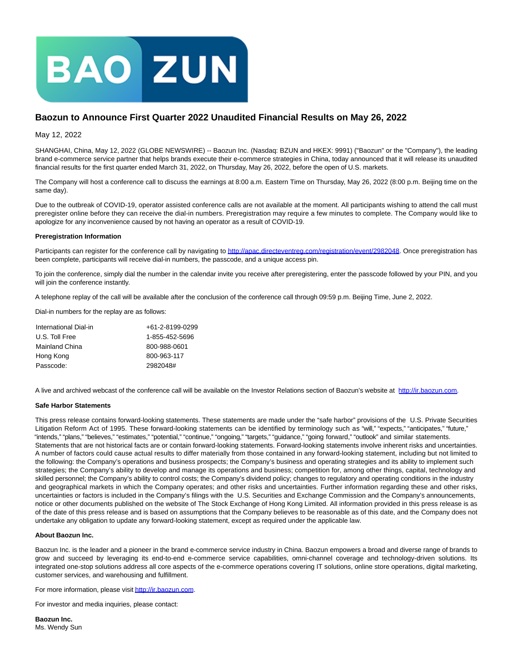

## **Baozun to Announce First Quarter 2022 Unaudited Financial Results on May 26, 2022**

May 12, 2022

SHANGHAI, China, May 12, 2022 (GLOBE NEWSWIRE) -- Baozun Inc. (Nasdaq: BZUN and HKEX: 9991) ("Baozun" or the "Company"), the leading brand e-commerce service partner that helps brands execute their e-commerce strategies in China, today announced that it will release its unaudited financial results for the first quarter ended March 31, 2022, on Thursday, May 26, 2022, before the open of U.S. markets.

The Company will host a conference call to discuss the earnings at 8:00 a.m. Eastern Time on Thursday, May 26, 2022 (8:00 p.m. Beijing time on the same day).

Due to the outbreak of COVID-19, operator assisted conference calls are not available at the moment. All participants wishing to attend the call must preregister online before they can receive the dial-in numbers. Preregistration may require a few minutes to complete. The Company would like to apologize for any inconvenience caused by not having an operator as a result of COVID-19.

## **Preregistration Information**

Participants can register for the conference call by navigating to [http://apac.directeventreg.com/registration/event/2982048.](https://www.globenewswire.com/Tracker?data=cPYOLaSig4JCc05msjGR7LhFFAXW7dXcuj45cNK4wIa1rG0VSmSdAPSRTZp_4Z1ahyGqIby2tF2BWrFeDKBPi1TLZXeEoHUm8ZugRtTWtHqegmLxyvEU7bsHYYXCGUccrWFAKfcaFVjmKYGPLB5vC-BMwd9oBOuYSREOjXx5Zh9TfaHW3BKBn6hTsH5zmD-q) Once preregistration has been complete, participants will receive dial-in numbers, the passcode, and a unique access pin.

To join the conference, simply dial the number in the calendar invite you receive after preregistering, enter the passcode followed by your PIN, and you will join the conference instantly.

A telephone replay of the call will be available after the conclusion of the conference call through 09:59 p.m. Beijing Time, June 2, 2022.

Dial-in numbers for the replay are as follows:

| International Dial-in | +61-2-8199-0299 |
|-----------------------|-----------------|
| U.S. Toll Free        | 1-855-452-5696  |
| Mainland China        | 800-988-0601    |
| Hong Kong             | 800-963-117     |
| Passcode:             | 2982048#        |

A live and archived webcast of the conference call will be available on the Investor Relations section of Baozun's website at [http://ir.baozun.com.](https://www.globenewswire.com/Tracker?data=cPYOLaSig4JCc05msjGR7GomBypBfzQvOvST4gXlgW13GcW4DMmjSzGe2dmJzeLxMt2Kw2p6zPQ6bvSXLjWlQQ==)

## **Safe Harbor Statements**

This press release contains forward-looking statements. These statements are made under the "safe harbor" provisions of the U.S. Private Securities Litigation Reform Act of 1995. These forward-looking statements can be identified by terminology such as "will," "expects," "anticipates," "future," "intends," "plans," "believes," "estimates," "potential," "continue," "ongoing," "targets," "guidance," "going forward," "outlook" and similar statements. Statements that are not historical facts are or contain forward-looking statements. Forward-looking statements involve inherent risks and uncertainties. A number of factors could cause actual results to differ materially from those contained in any forward-looking statement, including but not limited to the following: the Company's operations and business prospects; the Company's business and operating strategies and its ability to implement such strategies; the Company's ability to develop and manage its operations and business; competition for, among other things, capital, technology and skilled personnel; the Company's ability to control costs; the Company's dividend policy; changes to regulatory and operating conditions in the industry and geographical markets in which the Company operates; and other risks and uncertainties. Further information regarding these and other risks, uncertainties or factors is included in the Company's filings with the U.S. Securities and Exchange Commission and the Company's announcements, notice or other documents published on the website of The Stock Exchange of Hong Kong Limited. All information provided in this press release is as of the date of this press release and is based on assumptions that the Company believes to be reasonable as of this date, and the Company does not undertake any obligation to update any forward-looking statement, except as required under the applicable law.

## **About Baozun Inc.**

Baozun Inc. is the leader and a pioneer in the brand e-commerce service industry in China. Baozun empowers a broad and diverse range of brands to grow and succeed by leveraging its end-to-end e-commerce service capabilities, omni-channel coverage and technology-driven solutions. Its integrated one-stop solutions address all core aspects of the e-commerce operations covering IT solutions, online store operations, digital marketing, customer services, and warehousing and fulfillment.

For more information, please visi[t http://ir.baozun.com.](https://www.globenewswire.com/Tracker?data=cPYOLaSig4JCc05msjGR7DidaJSSI99Shp6gTBsd6m2PF74JhyjiGTATGUVQGreyKJcaRMaxI221saaUpPljrg==)

For investor and media inquiries, please contact:

**Baozun Inc.** Ms. Wendy Sun